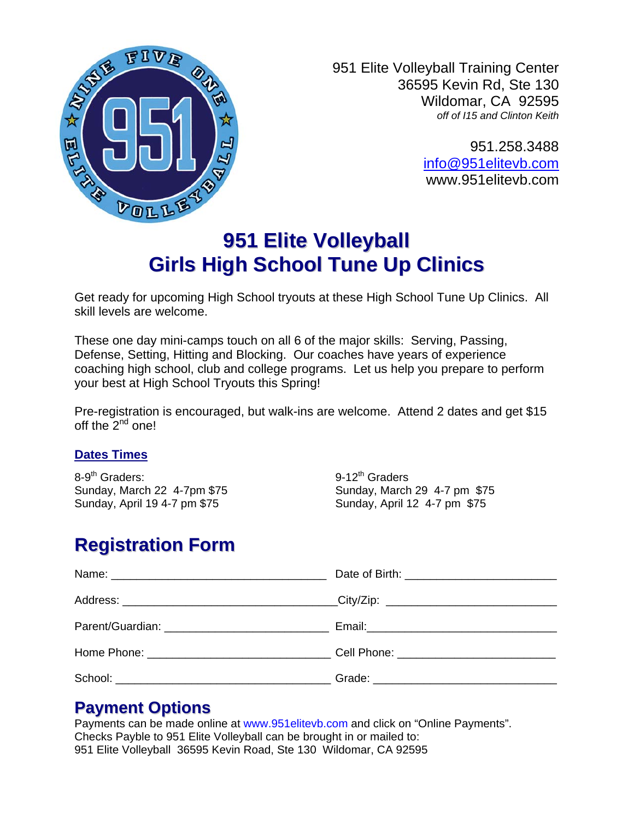

951 Elite Volleyball Training Center 36595 Kevin Rd, Ste 130 Wildomar, CA 92595 *off of I15 and Clinton Keith* 

> 951.258.3488 [info@951elitevb.com](mailto:info@951elitevb.com) www.951elitevb.com

# **951 Elite Volleyball Girls High School Tune Up Clinics**

Get ready for upcoming High School tryouts at these High School Tune Up Clinics. All skill levels are welcome.

These one day mini-camps touch on all 6 of the major skills: Serving, Passing, Defense, Setting, Hitting and Blocking. Our coaches have years of experience coaching high school, club and college programs. Let us help you prepare to perform your best at High School Tryouts this Spring!

Pre-registration is encouraged, but walk-ins are welcome. Attend 2 dates and get \$15 off the 2<sup>nd</sup> one!

#### **Dates Times**

8-9<sup>th</sup> Graders: 9-12<sup>th</sup> Graders

Sunday, March 22 4-7pm \$75 Sunday, March 29 4-7 pm \$75 Sunday, April 19 4-7 pm \$75 Sunday, April 12 4-7 pm \$75

# **Registration Form**

| Home Phone: __________________________________Cell Phone: ______________________ |  |
|----------------------------------------------------------------------------------|--|
|                                                                                  |  |

### **Payment Options**

Payments can be made online at www.951elitevb.com and click on "Online Payments". Checks Payble to 951 Elite Volleyball can be brought in or mailed to: 951 Elite Volleyball 36595 Kevin Road, Ste 130 Wildomar, CA 92595